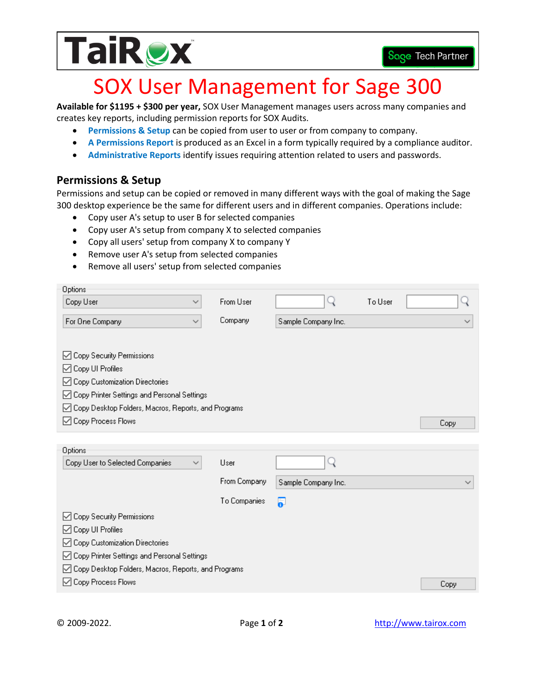

## SOX User Management for Sage 300

**Available for \$1195 + \$300 per year,** SOX User Management manages users across many companies and creates key reports, including permission reports for SOX Audits.

- **Permissions & Setup** can be copied from user to user or from company to company.
- **A Permissions Report** is produced as an Excel in a form typically required by a compliance auditor.
- **Administrative Reports** identify issues requiring attention related to users and passwords.

## **Permissions & Setup**

Permissions and setup can be copied or removed in many different ways with the goal of making the Sage 300 desktop experience be the same for different users and in different companies. Operations include:

- Copy user A's setup to user B for selected companies
- Copy user A's setup from company X to selected companies
- Copy all users' setup from company X to company Y
- Remove user A's setup from selected companies
- Remove all users' setup from selected companies

| Options                                               |              |                     |         |              |
|-------------------------------------------------------|--------------|---------------------|---------|--------------|
| Copy User<br>$\checkmark$                             | From User    |                     | To User |              |
| For One Company<br>$\checkmark$                       | Company      | Sample Company Inc. |         | $\checkmark$ |
|                                                       |              |                     |         |              |
| ◯ Copy Security Permissions                           |              |                     |         |              |
| ⊡ Copy UI Profiles                                    |              |                     |         |              |
| ○ Copy Customization Directories                      |              |                     |         |              |
| ○ Copy Printer Settings and Personal Settings         |              |                     |         |              |
| ☑ Copy Desktop Folders, Macros, Reports, and Programs |              |                     |         |              |
| ○ Copy Process Flows                                  |              |                     |         | Copy         |
|                                                       |              |                     |         |              |
| Options                                               |              |                     |         |              |
| Copy User to Selected Companies<br>∨                  | User         |                     |         |              |
|                                                       | From Company | Sample Company Inc. |         | $\checkmark$ |
|                                                       | To Companies | 5                   |         |              |
| ◯ Copy Security Permissions                           |              |                     |         |              |
| ○ Copy UI Profiles                                    |              |                     |         |              |
| ◯ Copy Customization Directories                      |              |                     |         |              |
| ○ Copy Printer Settings and Personal Settings         |              |                     |         |              |
| ☑ Copy Desktop Folders, Macros, Reports, and Programs |              |                     |         |              |
| ◯ Copy Process Flows                                  |              |                     |         | Copy         |

Copy